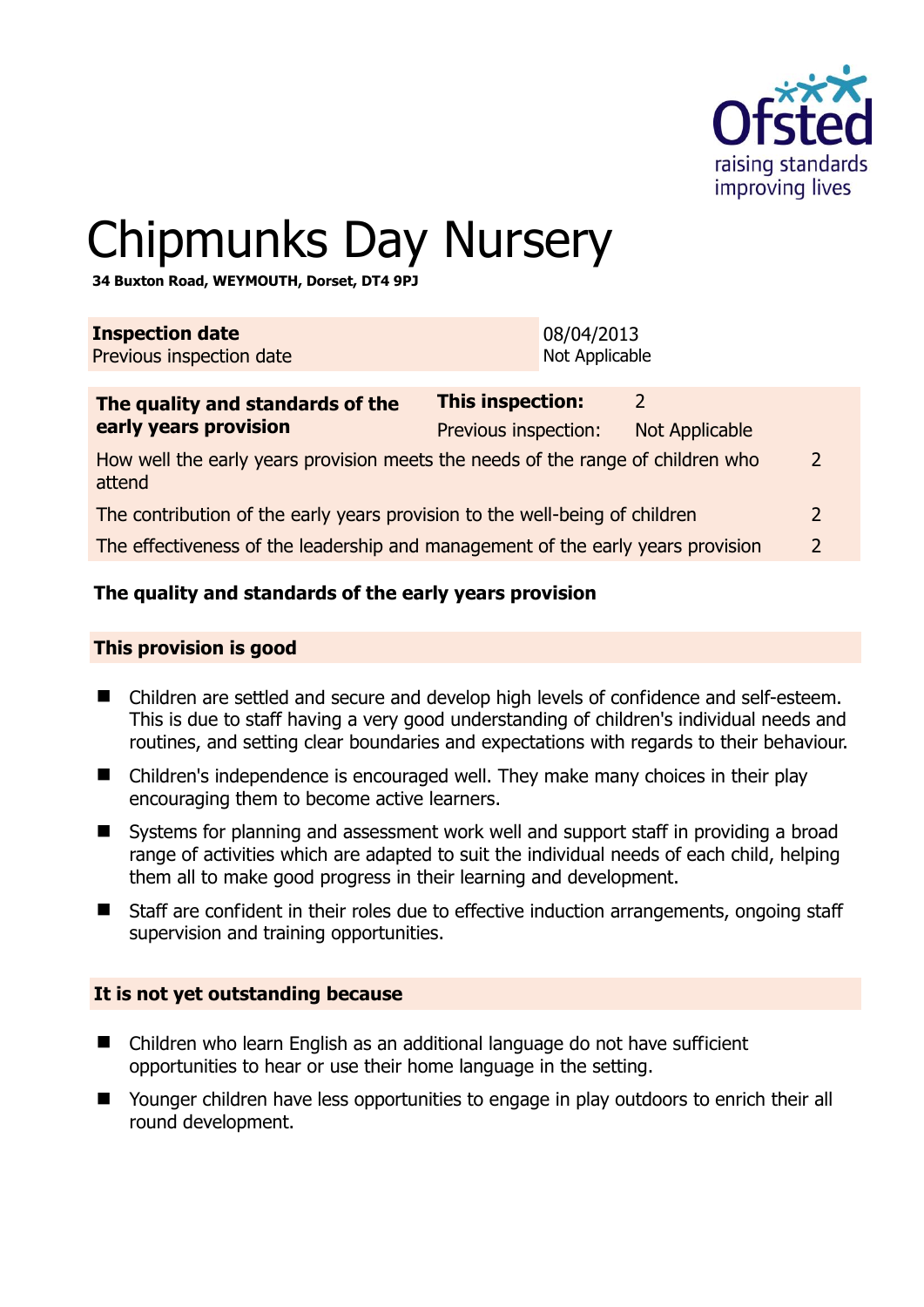

2

# Chipmunks Day Nursery

**34 Buxton Road, WEYMOUTH, Dorset, DT4 9PJ** 

| <b>Inspection date</b><br>Previous inspection date                                        |                         | 08/04/2013<br>Not Applicable |                       |  |
|-------------------------------------------------------------------------------------------|-------------------------|------------------------------|-----------------------|--|
| The quality and standards of the                                                          | <b>This inspection:</b> |                              | 2                     |  |
| early years provision                                                                     | Previous inspection:    |                              | <b>Not Applicable</b> |  |
| How well the early years provision meets the needs of the range of children who<br>attend |                         |                              |                       |  |
| The contribution of the early years provision to the well-being of children               |                         |                              |                       |  |
| The effectiveness of the leadership and management of the early years provision           |                         |                              |                       |  |

# **The quality and standards of the early years provision**

#### **This provision is good**

- Children are settled and secure and develop high levels of confidence and self-esteem. This is due to staff having a very good understanding of children's individual needs and routines, and setting clear boundaries and expectations with regards to their behaviour.
- Children's independence is encouraged well. They make many choices in their play encouraging them to become active learners.
- Systems for planning and assessment work well and support staff in providing a broad range of activities which are adapted to suit the individual needs of each child, helping them all to make good progress in their learning and development.
- Staff are confident in their roles due to effective induction arrangements, ongoing staff supervision and training opportunities.

#### **It is not yet outstanding because**

- Children who learn English as an additional language do not have sufficient opportunities to hear or use their home language in the setting.
- Younger children have less opportunities to engage in play outdoors to enrich their all round development.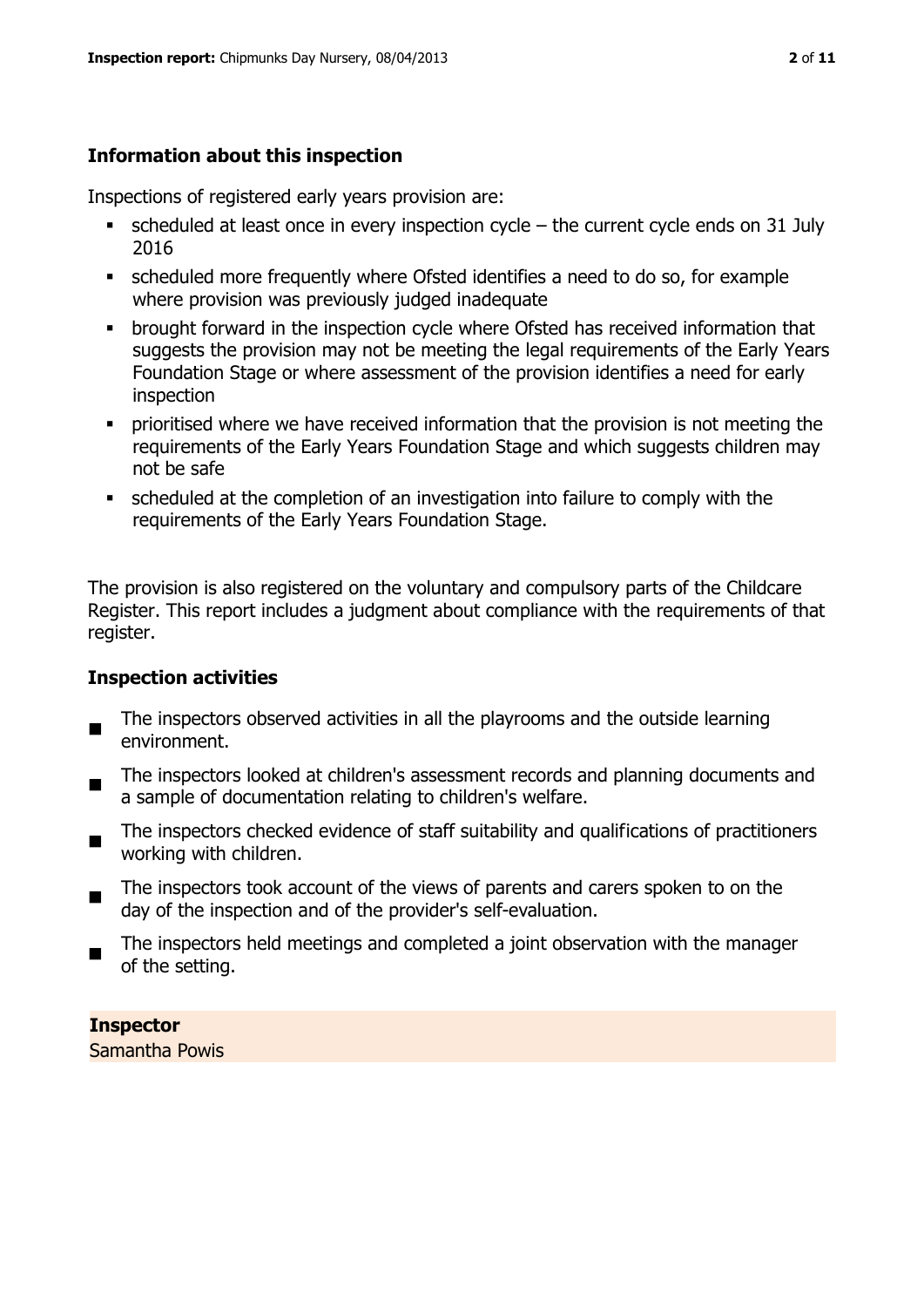# **Information about this inspection**

Inspections of registered early years provision are:

- $\bullet$  scheduled at least once in every inspection cycle the current cycle ends on 31 July 2016
- scheduled more frequently where Ofsted identifies a need to do so, for example where provision was previously judged inadequate
- **•** brought forward in the inspection cycle where Ofsted has received information that suggests the provision may not be meeting the legal requirements of the Early Years Foundation Stage or where assessment of the provision identifies a need for early inspection
- **•** prioritised where we have received information that the provision is not meeting the requirements of the Early Years Foundation Stage and which suggests children may not be safe
- scheduled at the completion of an investigation into failure to comply with the requirements of the Early Years Foundation Stage.

The provision is also registered on the voluntary and compulsory parts of the Childcare Register. This report includes a judgment about compliance with the requirements of that register.

# **Inspection activities**

- $\blacksquare$ The inspectors observed activities in all the playrooms and the outside learning environment.
- The inspectors looked at children's assessment records and planning documents and a sample of documentation relating to children's welfare.
- The inspectors checked evidence of staff suitability and qualifications of practitioners working with children.
- $\blacksquare$ The inspectors took account of the views of parents and carers spoken to on the day of the inspection and of the provider's self-evaluation.
- The inspectors held meetings and completed a joint observation with the manager of the setting.

**Inspector**  Samantha Powis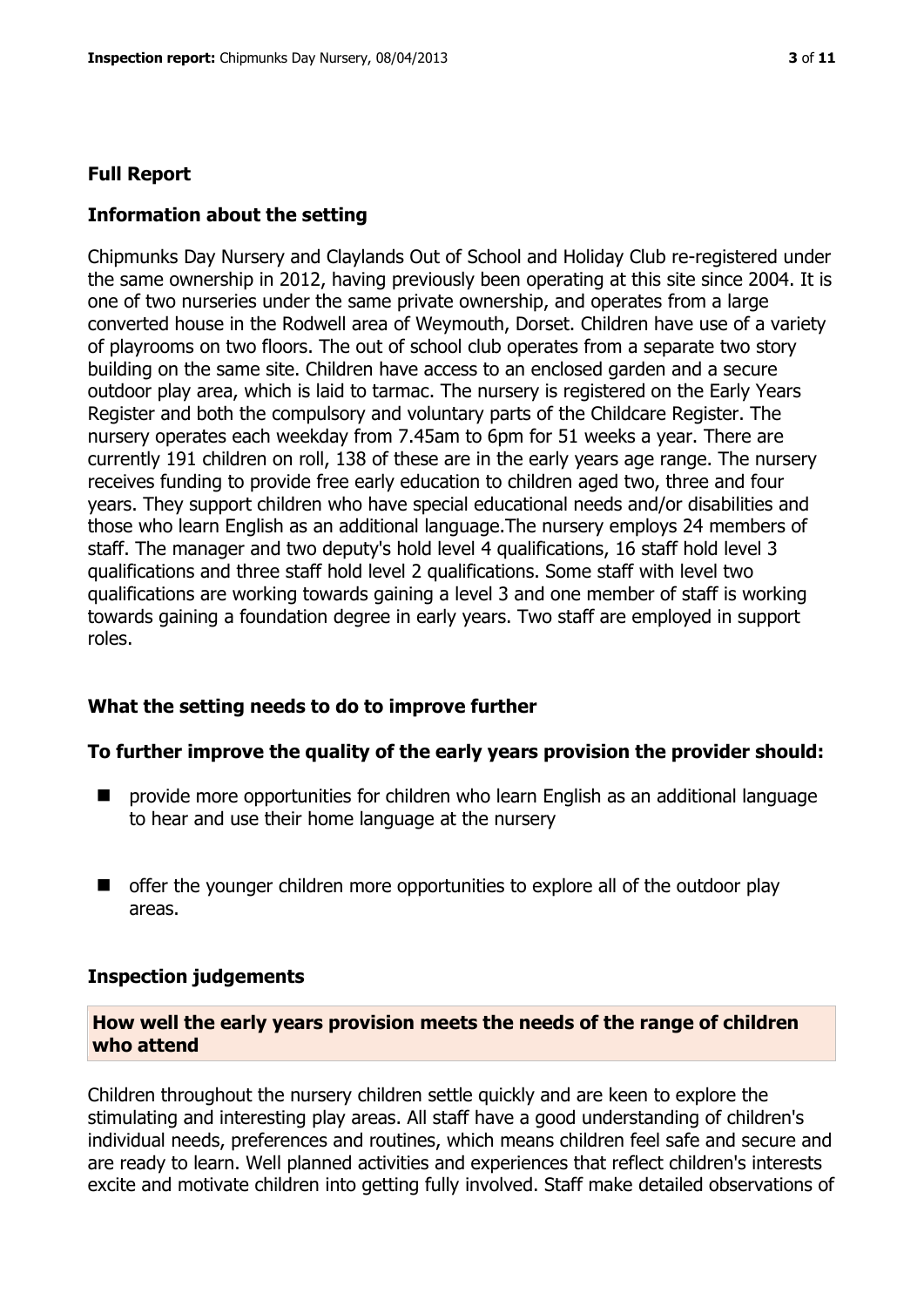#### **Full Report**

#### **Information about the setting**

Chipmunks Day Nursery and Claylands Out of School and Holiday Club re-registered under the same ownership in 2012, having previously been operating at this site since 2004. It is one of two nurseries under the same private ownership, and operates from a large converted house in the Rodwell area of Weymouth, Dorset. Children have use of a variety of playrooms on two floors. The out of school club operates from a separate two story building on the same site. Children have access to an enclosed garden and a secure outdoor play area, which is laid to tarmac. The nursery is registered on the Early Years Register and both the compulsory and voluntary parts of the Childcare Register. The nursery operates each weekday from 7.45am to 6pm for 51 weeks a year. There are currently 191 children on roll, 138 of these are in the early years age range. The nursery receives funding to provide free early education to children aged two, three and four years. They support children who have special educational needs and/or disabilities and those who learn English as an additional language.The nursery employs 24 members of staff. The manager and two deputy's hold level 4 qualifications, 16 staff hold level 3 qualifications and three staff hold level 2 qualifications. Some staff with level two qualifications are working towards gaining a level 3 and one member of staff is working towards gaining a foundation degree in early years. Two staff are employed in support roles.

#### **What the setting needs to do to improve further**

#### **To further improve the quality of the early years provision the provider should:**

- provide more opportunities for children who learn English as an additional language to hear and use their home language at the nursery
- $\blacksquare$  offer the younger children more opportunities to explore all of the outdoor play areas.

#### **Inspection judgements**

#### **How well the early years provision meets the needs of the range of children who attend**

Children throughout the nursery children settle quickly and are keen to explore the stimulating and interesting play areas. All staff have a good understanding of children's individual needs, preferences and routines, which means children feel safe and secure and are ready to learn. Well planned activities and experiences that reflect children's interests excite and motivate children into getting fully involved. Staff make detailed observations of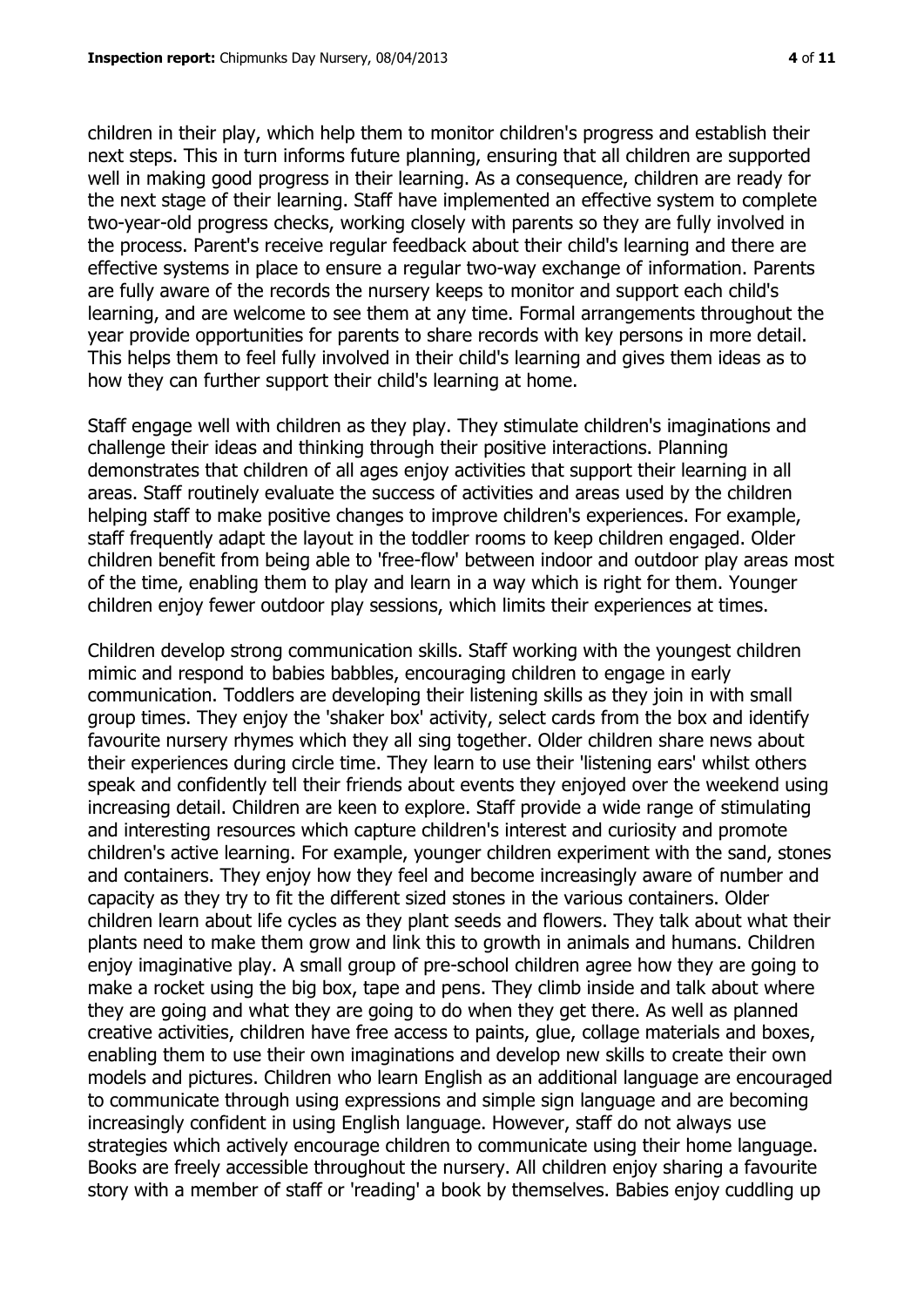children in their play, which help them to monitor children's progress and establish their next steps. This in turn informs future planning, ensuring that all children are supported well in making good progress in their learning. As a consequence, children are ready for the next stage of their learning. Staff have implemented an effective system to complete two-year-old progress checks, working closely with parents so they are fully involved in the process. Parent's receive regular feedback about their child's learning and there are effective systems in place to ensure a regular two-way exchange of information. Parents are fully aware of the records the nursery keeps to monitor and support each child's learning, and are welcome to see them at any time. Formal arrangements throughout the year provide opportunities for parents to share records with key persons in more detail. This helps them to feel fully involved in their child's learning and gives them ideas as to how they can further support their child's learning at home.

Staff engage well with children as they play. They stimulate children's imaginations and challenge their ideas and thinking through their positive interactions. Planning demonstrates that children of all ages enjoy activities that support their learning in all areas. Staff routinely evaluate the success of activities and areas used by the children helping staff to make positive changes to improve children's experiences. For example, staff frequently adapt the layout in the toddler rooms to keep children engaged. Older children benefit from being able to 'free-flow' between indoor and outdoor play areas most of the time, enabling them to play and learn in a way which is right for them. Younger children enjoy fewer outdoor play sessions, which limits their experiences at times.

Children develop strong communication skills. Staff working with the youngest children mimic and respond to babies babbles, encouraging children to engage in early communication. Toddlers are developing their listening skills as they join in with small group times. They enjoy the 'shaker box' activity, select cards from the box and identify favourite nursery rhymes which they all sing together. Older children share news about their experiences during circle time. They learn to use their 'listening ears' whilst others speak and confidently tell their friends about events they enjoyed over the weekend using increasing detail. Children are keen to explore. Staff provide a wide range of stimulating and interesting resources which capture children's interest and curiosity and promote children's active learning. For example, younger children experiment with the sand, stones and containers. They enjoy how they feel and become increasingly aware of number and capacity as they try to fit the different sized stones in the various containers. Older children learn about life cycles as they plant seeds and flowers. They talk about what their plants need to make them grow and link this to growth in animals and humans. Children enjoy imaginative play. A small group of pre-school children agree how they are going to make a rocket using the big box, tape and pens. They climb inside and talk about where they are going and what they are going to do when they get there. As well as planned creative activities, children have free access to paints, glue, collage materials and boxes, enabling them to use their own imaginations and develop new skills to create their own models and pictures. Children who learn English as an additional language are encouraged to communicate through using expressions and simple sign language and are becoming increasingly confident in using English language. However, staff do not always use strategies which actively encourage children to communicate using their home language. Books are freely accessible throughout the nursery. All children enjoy sharing a favourite story with a member of staff or 'reading' a book by themselves. Babies enjoy cuddling up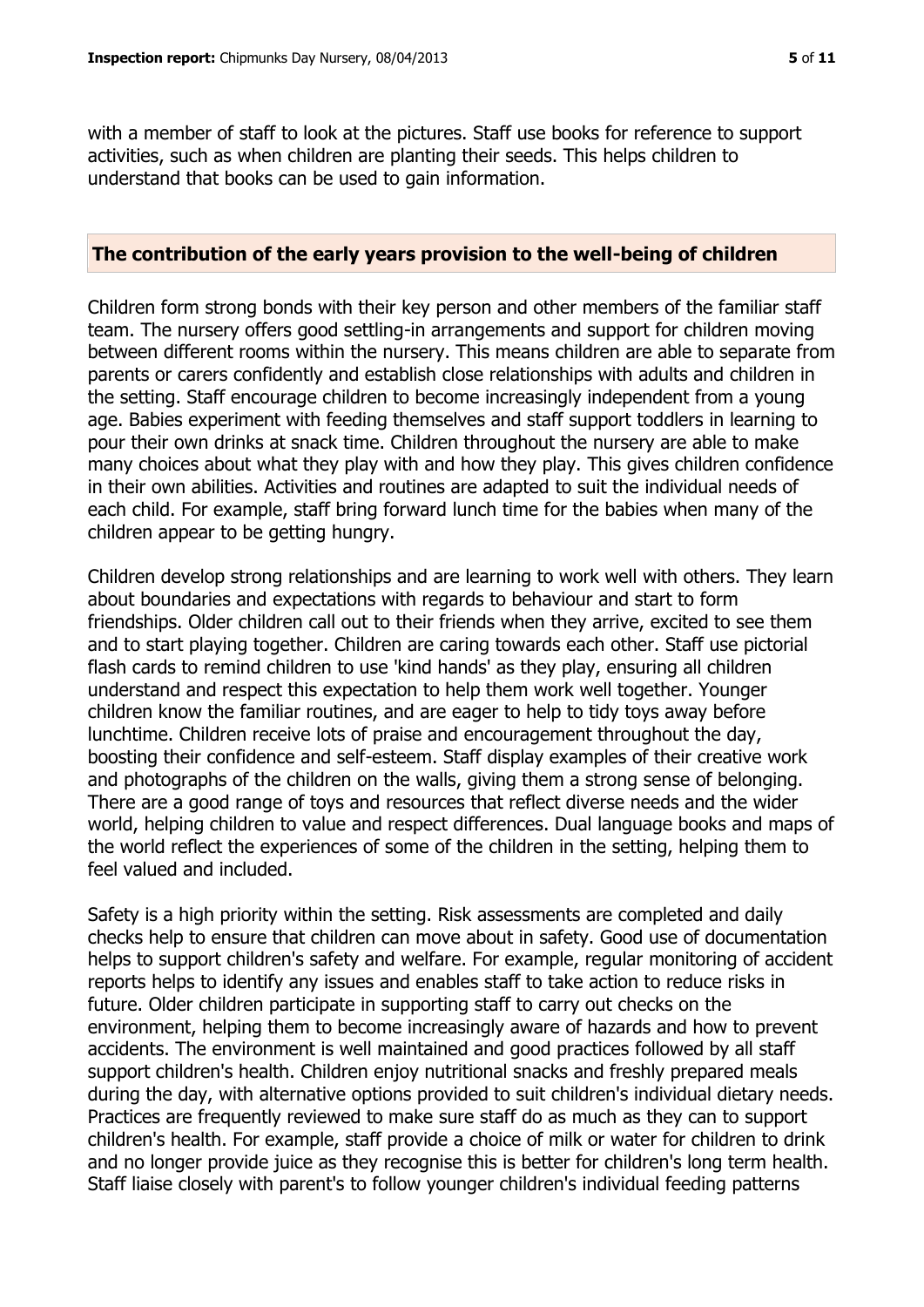with a member of staff to look at the pictures. Staff use books for reference to support activities, such as when children are planting their seeds. This helps children to understand that books can be used to gain information.

#### **The contribution of the early years provision to the well-being of children**

Children form strong bonds with their key person and other members of the familiar staff team. The nursery offers good settling-in arrangements and support for children moving between different rooms within the nursery. This means children are able to separate from parents or carers confidently and establish close relationships with adults and children in the setting. Staff encourage children to become increasingly independent from a young age. Babies experiment with feeding themselves and staff support toddlers in learning to pour their own drinks at snack time. Children throughout the nursery are able to make many choices about what they play with and how they play. This gives children confidence in their own abilities. Activities and routines are adapted to suit the individual needs of each child. For example, staff bring forward lunch time for the babies when many of the children appear to be getting hungry.

Children develop strong relationships and are learning to work well with others. They learn about boundaries and expectations with regards to behaviour and start to form friendships. Older children call out to their friends when they arrive, excited to see them and to start playing together. Children are caring towards each other. Staff use pictorial flash cards to remind children to use 'kind hands' as they play, ensuring all children understand and respect this expectation to help them work well together. Younger children know the familiar routines, and are eager to help to tidy toys away before lunchtime. Children receive lots of praise and encouragement throughout the day, boosting their confidence and self-esteem. Staff display examples of their creative work and photographs of the children on the walls, giving them a strong sense of belonging. There are a good range of toys and resources that reflect diverse needs and the wider world, helping children to value and respect differences. Dual language books and maps of the world reflect the experiences of some of the children in the setting, helping them to feel valued and included.

Safety is a high priority within the setting. Risk assessments are completed and daily checks help to ensure that children can move about in safety. Good use of documentation helps to support children's safety and welfare. For example, regular monitoring of accident reports helps to identify any issues and enables staff to take action to reduce risks in future. Older children participate in supporting staff to carry out checks on the environment, helping them to become increasingly aware of hazards and how to prevent accidents. The environment is well maintained and good practices followed by all staff support children's health. Children enjoy nutritional snacks and freshly prepared meals during the day, with alternative options provided to suit children's individual dietary needs. Practices are frequently reviewed to make sure staff do as much as they can to support children's health. For example, staff provide a choice of milk or water for children to drink and no longer provide juice as they recognise this is better for children's long term health. Staff liaise closely with parent's to follow younger children's individual feeding patterns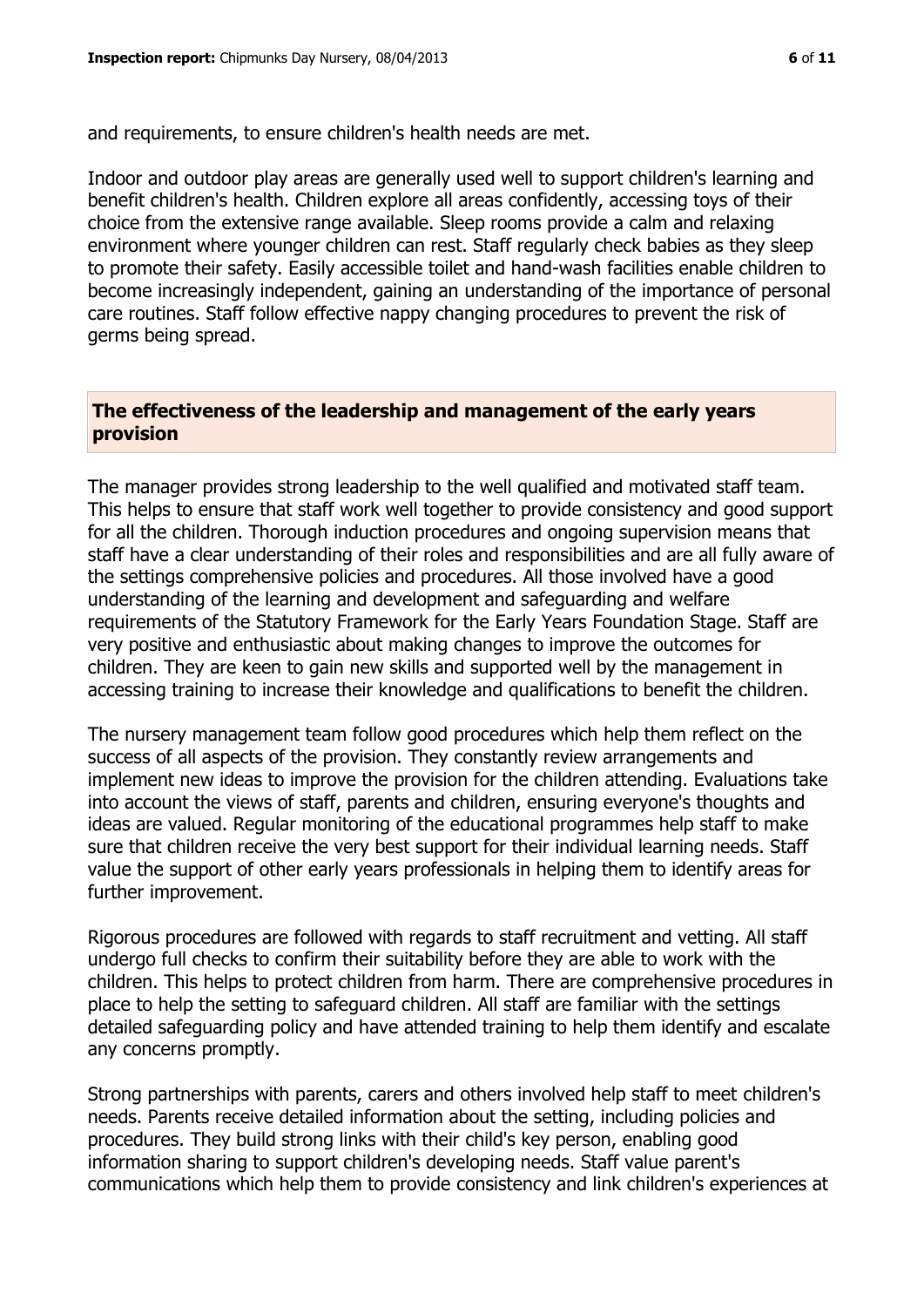and requirements, to ensure children's health needs are met.

Indoor and outdoor play areas are generally used well to support children's learning and benefit children's health. Children explore all areas confidently, accessing toys of their choice from the extensive range available. Sleep rooms provide a calm and relaxing environment where younger children can rest. Staff regularly check babies as they sleep to promote their safety. Easily accessible toilet and hand-wash facilities enable children to become increasingly independent, gaining an understanding of the importance of personal care routines. Staff follow effective nappy changing procedures to prevent the risk of germs being spread.

# **The effectiveness of the leadership and management of the early years provision**

The manager provides strong leadership to the well qualified and motivated staff team. This helps to ensure that staff work well together to provide consistency and good support for all the children. Thorough induction procedures and ongoing supervision means that staff have a clear understanding of their roles and responsibilities and are all fully aware of the settings comprehensive policies and procedures. All those involved have a good understanding of the learning and development and safeguarding and welfare requirements of the Statutory Framework for the Early Years Foundation Stage. Staff are very positive and enthusiastic about making changes to improve the outcomes for children. They are keen to gain new skills and supported well by the management in accessing training to increase their knowledge and qualifications to benefit the children.

The nursery management team follow good procedures which help them reflect on the success of all aspects of the provision. They constantly review arrangements and implement new ideas to improve the provision for the children attending. Evaluations take into account the views of staff, parents and children, ensuring everyone's thoughts and ideas are valued. Regular monitoring of the educational programmes help staff to make sure that children receive the very best support for their individual learning needs. Staff value the support of other early years professionals in helping them to identify areas for further improvement.

Rigorous procedures are followed with regards to staff recruitment and vetting. All staff undergo full checks to confirm their suitability before they are able to work with the children. This helps to protect children from harm. There are comprehensive procedures in place to help the setting to safeguard children. All staff are familiar with the settings detailed safeguarding policy and have attended training to help them identify and escalate any concerns promptly.

Strong partnerships with parents, carers and others involved help staff to meet children's needs. Parents receive detailed information about the setting, including policies and procedures. They build strong links with their child's key person, enabling good information sharing to support children's developing needs. Staff value parent's communications which help them to provide consistency and link children's experiences at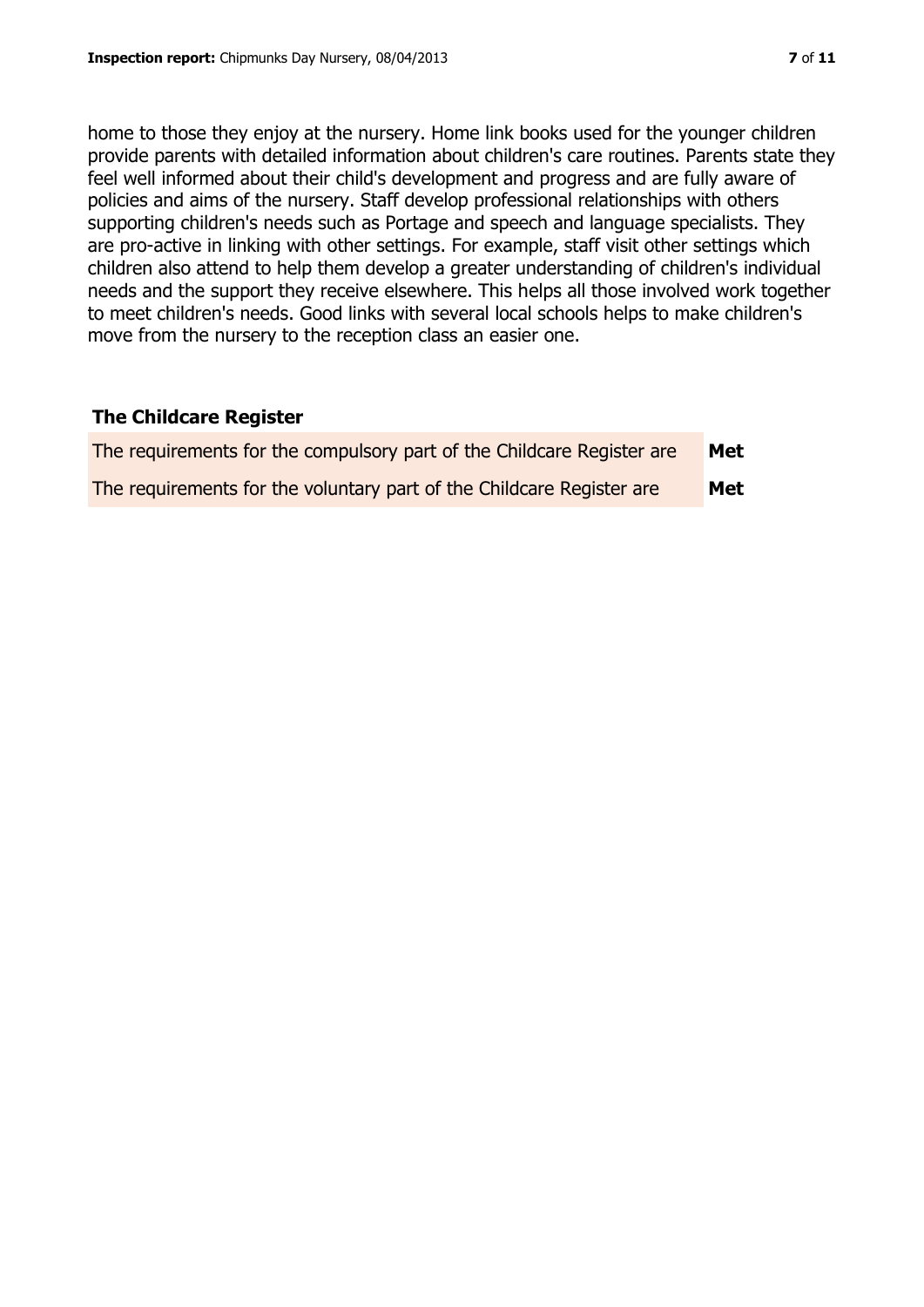home to those they enjoy at the nursery. Home link books used for the younger children provide parents with detailed information about children's care routines. Parents state they feel well informed about their child's development and progress and are fully aware of policies and aims of the nursery. Staff develop professional relationships with others supporting children's needs such as Portage and speech and language specialists. They are pro-active in linking with other settings. For example, staff visit other settings which children also attend to help them develop a greater understanding of children's individual needs and the support they receive elsewhere. This helps all those involved work together to meet children's needs. Good links with several local schools helps to make children's move from the nursery to the reception class an easier one.

# **The Childcare Register**

| The requirements for the compulsory part of the Childcare Register are | Met |
|------------------------------------------------------------------------|-----|
| The requirements for the voluntary part of the Childcare Register are  | Met |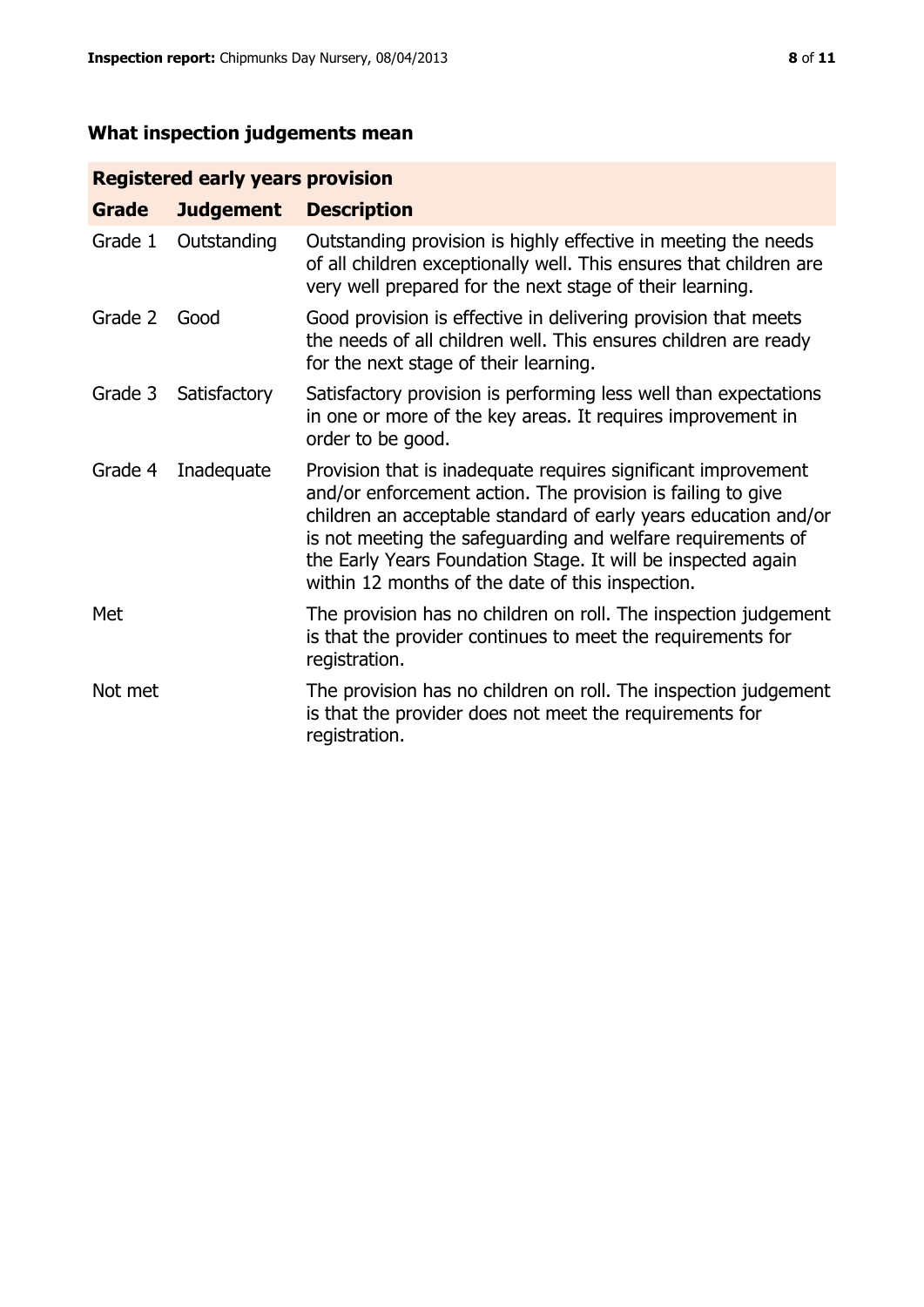# **What inspection judgements mean**

# **Registered early years provision**

| Grade   | <b>Judgement</b> | <b>Description</b>                                                                                                                                                                                                                                                                                                                                                                 |
|---------|------------------|------------------------------------------------------------------------------------------------------------------------------------------------------------------------------------------------------------------------------------------------------------------------------------------------------------------------------------------------------------------------------------|
| Grade 1 | Outstanding      | Outstanding provision is highly effective in meeting the needs<br>of all children exceptionally well. This ensures that children are<br>very well prepared for the next stage of their learning.                                                                                                                                                                                   |
| Grade 2 | Good             | Good provision is effective in delivering provision that meets<br>the needs of all children well. This ensures children are ready<br>for the next stage of their learning.                                                                                                                                                                                                         |
| Grade 3 | Satisfactory     | Satisfactory provision is performing less well than expectations<br>in one or more of the key areas. It requires improvement in<br>order to be good.                                                                                                                                                                                                                               |
| Grade 4 | Inadequate       | Provision that is inadequate requires significant improvement<br>and/or enforcement action. The provision is failing to give<br>children an acceptable standard of early years education and/or<br>is not meeting the safeguarding and welfare requirements of<br>the Early Years Foundation Stage. It will be inspected again<br>within 12 months of the date of this inspection. |
| Met     |                  | The provision has no children on roll. The inspection judgement<br>is that the provider continues to meet the requirements for<br>registration.                                                                                                                                                                                                                                    |
| Not met |                  | The provision has no children on roll. The inspection judgement<br>is that the provider does not meet the requirements for<br>registration.                                                                                                                                                                                                                                        |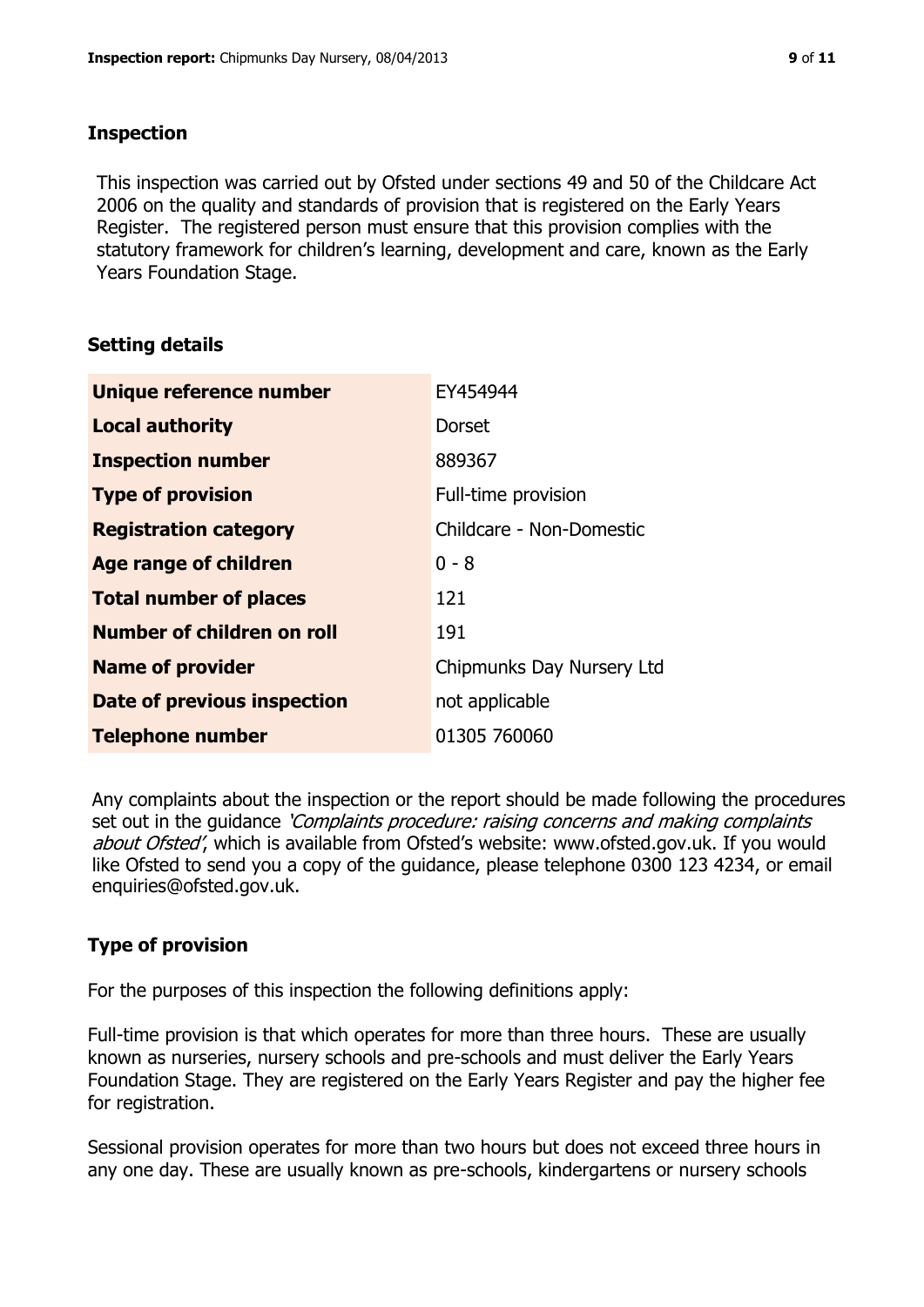### **Inspection**

This inspection was carried out by Ofsted under sections 49 and 50 of the Childcare Act 2006 on the quality and standards of provision that is registered on the Early Years Register. The registered person must ensure that this provision complies with the statutory framework for children's learning, development and care, known as the Early Years Foundation Stage.

# **Setting details**

| Unique reference number            | EY454944                  |
|------------------------------------|---------------------------|
| <b>Local authority</b>             | Dorset                    |
| <b>Inspection number</b>           | 889367                    |
| <b>Type of provision</b>           | Full-time provision       |
| <b>Registration category</b>       | Childcare - Non-Domestic  |
| Age range of children              | $0 - 8$                   |
| <b>Total number of places</b>      | 121                       |
| Number of children on roll         | 191                       |
| <b>Name of provider</b>            | Chipmunks Day Nursery Ltd |
| <b>Date of previous inspection</b> | not applicable            |
| <b>Telephone number</b>            | 01305 760060              |

Any complaints about the inspection or the report should be made following the procedures set out in the guidance *'Complaints procedure: raising concerns and making complaints* about Ofsted', which is available from Ofsted's website: www.ofsted.gov.uk. If you would like Ofsted to send you a copy of the guidance, please telephone 0300 123 4234, or email enquiries@ofsted.gov.uk.

# **Type of provision**

For the purposes of this inspection the following definitions apply:

Full-time provision is that which operates for more than three hours. These are usually known as nurseries, nursery schools and pre-schools and must deliver the Early Years Foundation Stage. They are registered on the Early Years Register and pay the higher fee for registration.

Sessional provision operates for more than two hours but does not exceed three hours in any one day. These are usually known as pre-schools, kindergartens or nursery schools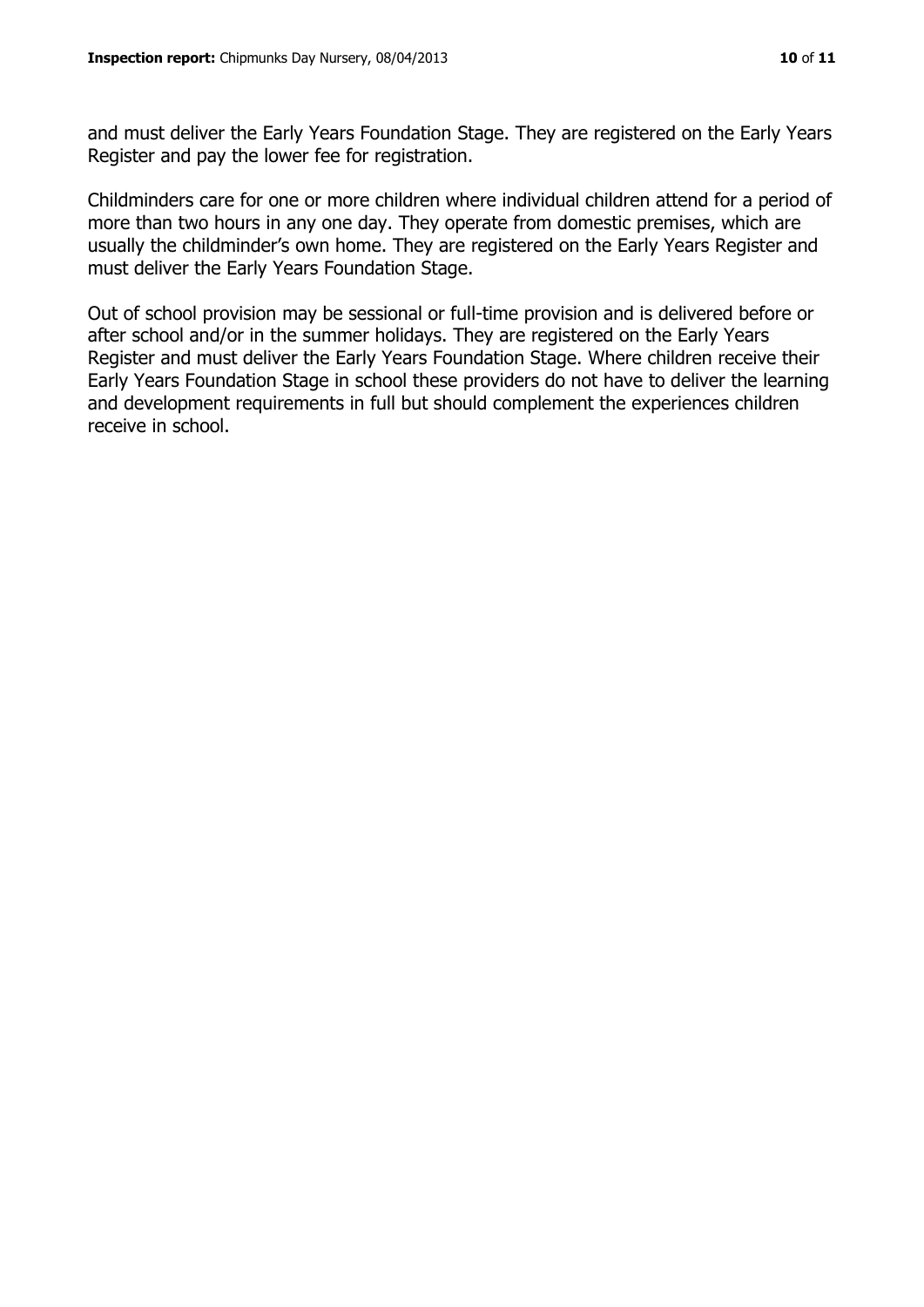and must deliver the Early Years Foundation Stage. They are registered on the Early Years Register and pay the lower fee for registration.

Childminders care for one or more children where individual children attend for a period of more than two hours in any one day. They operate from domestic premises, which are usually the childminder's own home. They are registered on the Early Years Register and must deliver the Early Years Foundation Stage.

Out of school provision may be sessional or full-time provision and is delivered before or after school and/or in the summer holidays. They are registered on the Early Years Register and must deliver the Early Years Foundation Stage. Where children receive their Early Years Foundation Stage in school these providers do not have to deliver the learning and development requirements in full but should complement the experiences children receive in school.